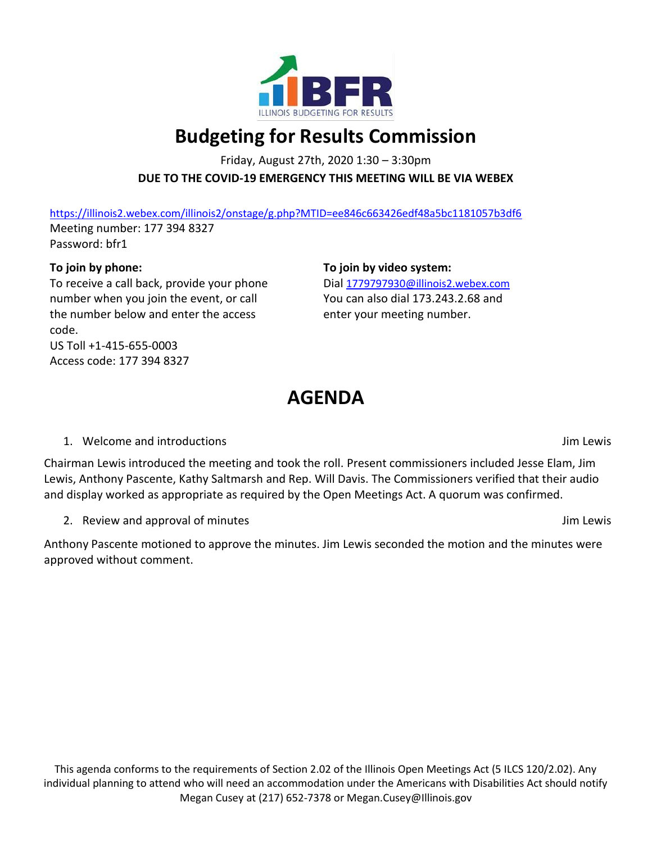

# **Budgeting for Results Commission**

Friday, August 27th, 2020 1:30 – 3:30pm **DUE TO THE COVID-19 EMERGENCY THIS MEETING WILL BE VIA WEBEX**

<https://illinois2.webex.com/illinois2/onstage/g.php?MTID=ee846c663426edf48a5bc1181057b3df6> Meeting number: 177 394 8327 Password: bfr1

## **To join by phone:**

To receive a call back, provide your phone number when you join the event, or call the number below and enter the access code. US Toll +1-415-655-0003 Access code: 177 394 8327

**To join by video system:**

Dial [1779797930@illinois2.webex.com](mailto:1779797930@illinois2.webex.com) You can also dial 173.243.2.68 and enter your meeting number.

# **AGENDA**

## 1. Welcome and introductions **Jim Lewis** Jim Lewis

Chairman Lewis introduced the meeting and took the roll. Present commissioners included Jesse Elam, Jim Lewis, Anthony Pascente, Kathy Saltmarsh and Rep. Will Davis. The Commissioners verified that their audio and display worked as appropriate as required by the Open Meetings Act. A quorum was confirmed.

2. Review and approval of minutes and  $\frac{1}{2}$  and  $\frac{1}{2}$  and  $\frac{1}{2}$  and  $\frac{1}{2}$  and  $\frac{1}{2}$  and  $\frac{1}{2}$  and  $\frac{1}{2}$  and  $\frac{1}{2}$  and  $\frac{1}{2}$  and  $\frac{1}{2}$  and  $\frac{1}{2}$  and  $\frac{1}{2}$  and  $\frac{1}{2}$  and  $\$ 

Anthony Pascente motioned to approve the minutes. Jim Lewis seconded the motion and the minutes were approved without comment.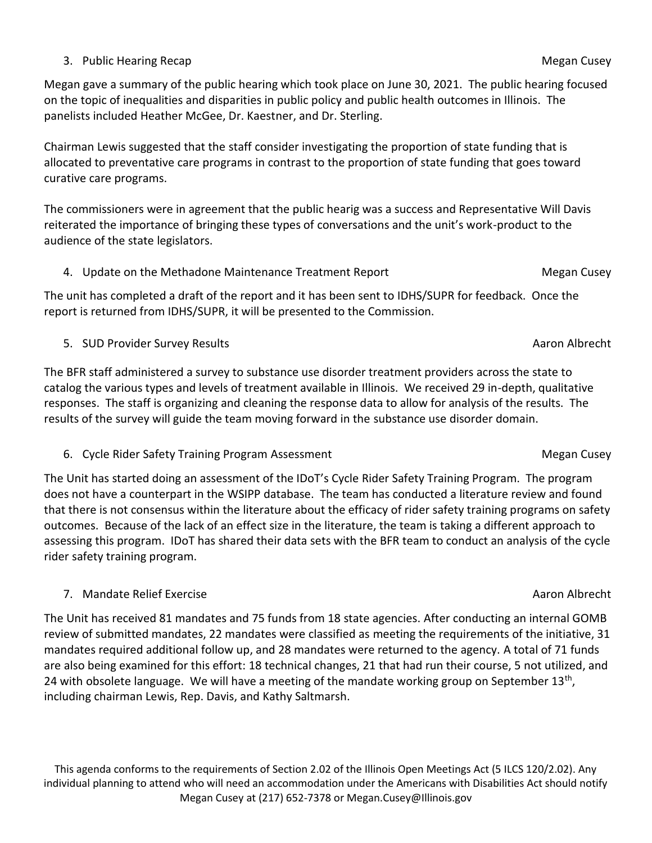Megan gave a summary of the public hearing which took place on June 30, 2021. The public hearing focused on the topic of inequalities and disparities in public policy and public health outcomes in Illinois. The panelists included Heather McGee, Dr. Kaestner, and Dr. Sterling.

Chairman Lewis suggested that the staff consider investigating the proportion of state funding that is allocated to preventative care programs in contrast to the proportion of state funding that goes toward curative care programs.

The commissioners were in agreement that the public hearig was a success and Representative Will Davis reiterated the importance of bringing these types of conversations and the unit's work-product to the audience of the state legislators.

4. Update on the Methadone Maintenance Treatment Report **Methanon** Megan Cusey

The unit has completed a draft of the report and it has been sent to IDHS/SUPR for feedback. Once the report is returned from IDHS/SUPR, it will be presented to the Commission.

5. SUD Provider Survey Results Aaron Albrecht Aaron Albrecht Aaron Albrecht Aaron Albrecht

The BFR staff administered a survey to substance use disorder treatment providers across the state to catalog the various types and levels of treatment available in Illinois. We received 29 in-depth, qualitative responses. The staff is organizing and cleaning the response data to allow for analysis of the results. The results of the survey will guide the team moving forward in the substance use disorder domain.

6. Cycle Rider Safety Training Program Assessment Megan Cusey and Megan Cusey

The Unit has started doing an assessment of the IDoT's Cycle Rider Safety Training Program. The program does not have a counterpart in the WSIPP database. The team has conducted a literature review and found that there is not consensus within the literature about the efficacy of rider safety training programs on safety outcomes. Because of the lack of an effect size in the literature, the team is taking a different approach to assessing this program. IDoT has shared their data sets with the BFR team to conduct an analysis of the cycle rider safety training program.

7. Mandate Relief Exercise Aaron Albrecht Aaron Albrecht Aaron Albrecht Aaron Albrecht

The Unit has received 81 mandates and 75 funds from 18 state agencies. After conducting an internal GOMB review of submitted mandates, 22 mandates were classified as meeting the requirements of the initiative, 31 mandates required additional follow up, and 28 mandates were returned to the agency. A total of 71 funds are also being examined for this effort: 18 technical changes, 21 that had run their course, 5 not utilized, and 24 with obsolete language. We will have a meeting of the mandate working group on September 13<sup>th</sup>, including chairman Lewis, Rep. Davis, and Kathy Saltmarsh.